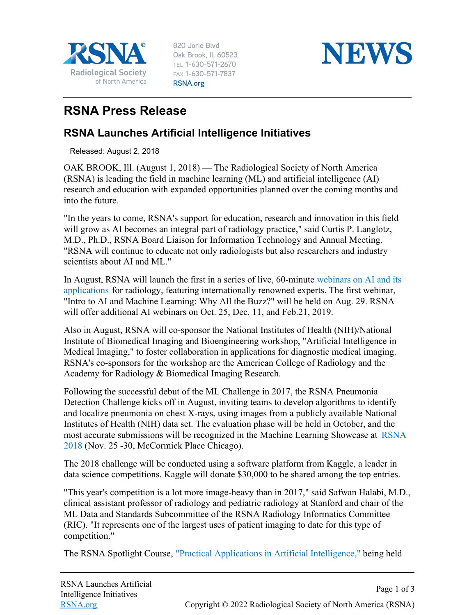

820 Jorie Blvd Oak Brook, IL 60523 TEL 1-630-571-2670 FAX 1-630-571-7837 RSNA.org



## **RSNA Press Release**

## **RSNA Launches Artificial Intelligence Initiatives**

Released: August 2, 2018

OAK BROOK, Ill. (August 1, 2018) — The Radiological Society of North America (RSNA) is leading the field in machine learning (ML) and artificial intelligence (AI) research and education with expanded opportunities planned over the coming months and into the future.

"In the years to come, RSNA's support for education, research and innovation in this field will grow as AI becomes an integral part of radiology practice," said Curtis P. Langlotz, M.D., Ph.D., RSNA Board Liaison for Information Technology and Annual Meeting. "RSNA will continue to educate not only radiologists but also researchers and industry scientists about AI and ML."

In August, RSNA will launch the first in a series of live, 60-minute [webinars on AI and its](http://education.rsna.org/diweb/catalog/item/eid/982635877) [applications](http://education.rsna.org/diweb/catalog/item/eid/982635877) for radiology, featuring internationally renowned experts. The first webinar, "Intro to AI and Machine Learning: Why All the Buzz?" will be held on Aug. 29. RSNA will offer additional AI webinars on Oct. 25, Dec. 11, and Feb. 21, 2019.

Also in August, RSNA will co-sponsor the National Institutes of Health (NIH)/National Institute of Biomedical Imaging and Bioengineering workshop, "Artificial Intelligence in Medical Imaging," to foster collaboration in applications for diagnostic medical imaging. RSNA's co-sponsors for the workshop are the American College of Radiology and the Academy for Radiology & Biomedical Imaging Research.

Following the successful debut of the ML Challenge in 2017, the RSNA Pneumonia Detection Challenge kicks off in August, inviting teams to develop algorithms to identify and localize pneumonia on chest X-rays, using images from a publicly available National Institutes of Health (NIH) data set. The evaluation phase will be held in October, and the most accurate submissions will be recognized in the Machine Learning Showcase at [RSNA](https://www.rsna.org/Annual-Meeting/) [2018](https://www.rsna.org/Annual-Meeting/) (Nov. 25 -30, McCormick Place Chicago).

The 2018 challenge will be conducted using a software platform from Kaggle, a leader in data science competitions. Kaggle will donate \$30,000 to be shared among the top entries.

"This year's competition is a lot more image-heavy than in 2017," said Safwan Halabi, M.D., clinical assistant professor of radiology and pediatric radiology at Stanford and chair of the ML Data and Standards Subcommittee of the RSNA Radiology Informatics Committee (RIC). "It represents one of the largest uses of patient imaging to date for this type of competition."

The RSNA Spotlight Course, ["Practical Applications in Artificial Intelligence,"](https://www.rsna.org/spotlight/) being held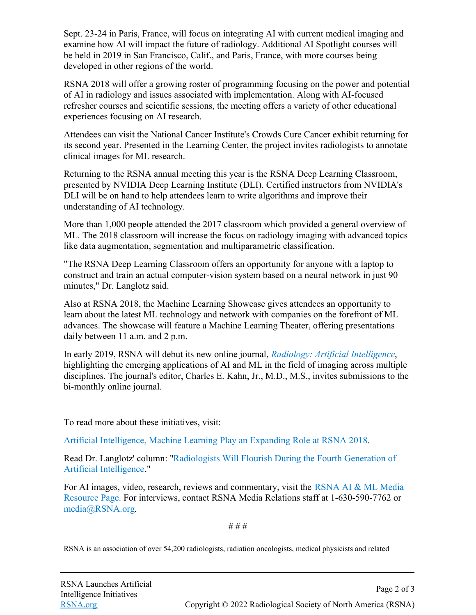Sept. 23-24 in Paris, France, will focus on integrating AI with current medical imaging and examine how AI will impact the future of radiology. Additional AI Spotlight courses will be held in 2019 in San Francisco, Calif., and Paris, France, with more courses being developed in other regions of the world.

RSNA 2018 will offer a growing roster of programming focusing on the power and potential of AI in radiology and issues associated with implementation. Along with AI-focused refresher courses and scientific sessions, the meeting offers a variety of other educational experiences focusing on AI research.

Attendees can visit the National Cancer Institute's Crowds Cure Cancer exhibit returning for its second year. Presented in the Learning Center, the project invites radiologists to annotate clinical images for ML research.

Returning to the RSNA annual meeting this year is the RSNA Deep Learning Classroom, presented by NVIDIA Deep Learning Institute (DLI). Certified instructors from NVIDIA's DLI will be on hand to help attendees learn to write algorithms and improve their understanding of AI technology.

More than 1,000 people attended the 2017 classroom which provided a general overview of ML. The 2018 classroom will increase the focus on radiology imaging with advanced topics like data augmentation, segmentation and multiparametric classification.

"The RSNA Deep Learning Classroom offers an opportunity for anyone with a laptop to construct and train an actual computer-vision system based on a neural network in just 90 minutes," Dr. Langlotz said.

Also at RSNA 2018, the Machine Learning Showcase gives attendees an opportunity to learn about the latest ML technology and network with companies on the forefront of ML advances. The showcase will feature a Machine Learning Theater, offering presentations daily between 11 a.m. and 2 p.m.

In early 2019, RSNA will debut its new online journal, *[Radiology: Artificial Intelligence](https://pubs.rsna.org/artificial-intelligence)*, highlighting the emerging applications of AI and ML in the field of imaging across multiple disciplines. The journal's editor, Charles E. Kahn, Jr., M.D., M.S., invites submissions to the bi-monthly online journal.

To read more about these initiatives, visit:

[Artificial Intelligence, Machine Learning Play an Expanding Role at RSNA 2018](http://www.rsna.org/News.aspx?id=24888).

Read Dr. Langlotz' column: ["Radiologists Will Flourish During the Fourth Generation of](http://www.rsna.org/News.aspx?id=24896) [Artificial Intelligence](http://www.rsna.org/News.aspx?id=24896)."

For AI images, video, research, reviews and commentary, visit the [RSNA AI & ML Media](https://press.rsna.org/timssnet/media/resources/target.cfm?id=2003) [Resource Page.](https://press.rsna.org/timssnet/media/resources/target.cfm?id=2003) For interviews, contact RSNA Media Relations staff at 1-630-590-7762 or [media@RSNA.org](mailto:media@rsna.org).

# # #

RSNA is an association of over 54,200 radiologists, radiation oncologists, medical physicists and related